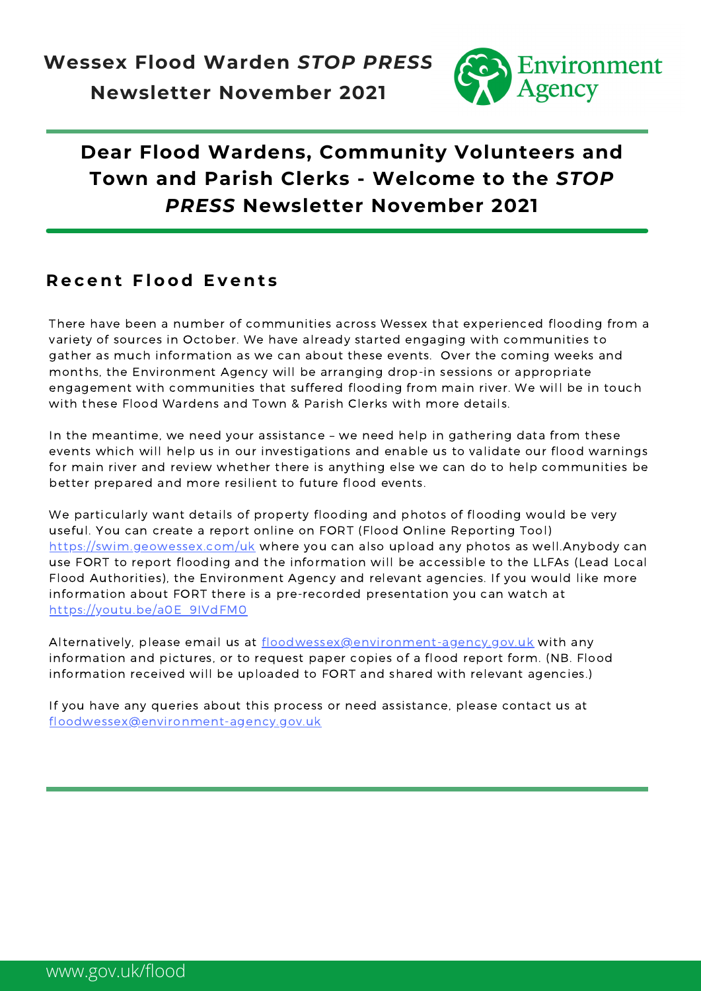

## **Dear Flood Wardens, Community Volunteers and Town and Parish Clerks - Welcome to the** *STOP PRESS* **Newsletter November 2021**

#### **R e c e n t F l o o d E v e n t s**

There have been a number of communities across Wessex that experienced flooding from a variety of sources in October. We have already started engaging with communities to gather as much information as we can about these events. Over the coming weeks and months, the Environment Agency will be arranging drop-in sessions or appropriate engagement with communities that suffered flooding from main river. We will be in touch with these Flood Wardens and Town & Parish Clerks with more details.

In the meantime, we need your assistance – we need help in gathering data from these events which will help us in our investigations and enable us to validate our flood warnings for main river and review whether there is anything else we can do to help communities be better prepared and more resilient to future flood events.

We particularly want details of property flooding and photos of flooding would be very useful. You can create a report online on FORT (Flood Online Reporting Tool) <https://swim.geowessex.com/uk> where you can also upload any photos as well.Anybody can use FORT to report flooding and the information will be accessible to the LLFAs (Lead Local Flood Authorities), the Environment Agency and relevant agencies. If you would like more information about FORT there is a pre-recorded presentation you can watch at [https://youtu.be/a0E\\_9IVdFM0](https://youtu.be/a0E_9IVdFM0)

Alternatively, please email us at [floodwessex@environment-agency.gov.uk](mailto:floodwessex@environment-agency.gov.uk) with any information and pictures, or to request paper copies of a flood report form. (NB. Flood information received will be uploaded to FORT and shared with relevant agencies.)

If you have any queries about this process or need assistance, please contact us at [floodwessex@environment-agency.gov.uk](mailto:floodwessex@environmetn-agency.gov.uk)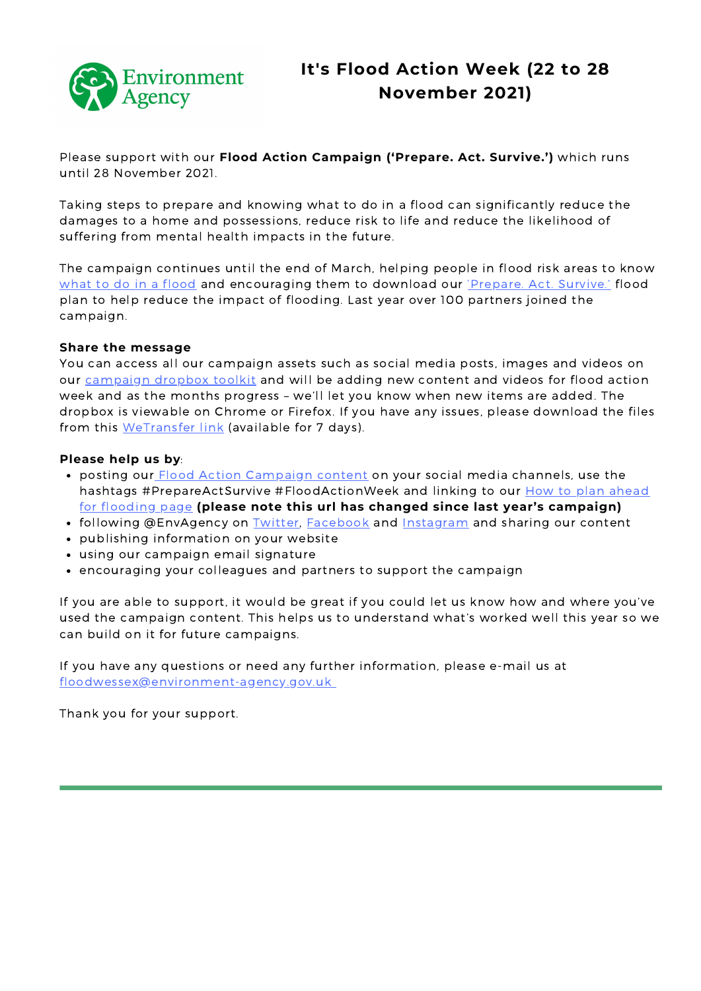

Please support with our **Flood Action Campaign ('Prepare. Act. Survive.')** which runs until 28 November 2021.

Taking steps to prepare and knowing what to do in a flood can significantly reduce the damages to a home and possessions, reduce risk to life and reduce the likelihood of suffering from mental health impacts in the future.

The campaign continues until the end of March, helping people in flood risk areas to know what to do in a [flood](https://check-for-flooding.service.gov.uk/plan-ahead-for-flooding?utm_campaign=envagency_flood2021&utm_medium=social_organic&utm_source=partner&utm_content=partner) and [encouraging](https://assets.publishing.service.gov.uk/government/uploads/system/uploads/attachment_data/file/1027409/Flood_Warnings___know_what_to_do.pdf) them to download our ['Prepare.](https://assets.publishing.service.gov.uk/government/uploads/system/uploads/attachment_data/file/1027409/Flood_Warnings___know_what_to_do.pdf) Act. Survive.' flood plan to help reduce the impact of flooding. Last year over 100 partners joined the campaign.

#### **Share the message**

You can access all our campaign assets such as social media posts, images and videos on our [campaign](https://paper.dropbox.com/doc/Flood-Action-Campaign-BIwbJyH3ohRgKmX3q2Q6v) dropbox toolkit and will be adding new content and videos for flood action week and as the months progress – we'll let you know when new items are added. The dropbox is viewable on Chrome or Firefox. If you have any issues, please download the files from this [WeTransfer](https://we.tl/t-5IPJMPBxKZ) link (available for 7 days).

#### **Please help us by**:

- posting our *Flood Action [Campaign](https://paper.dropbox.com/doc/Flood-Action-Campaign-BIwbJyH3ohRgKmX3q2Q6v) content* on your social media channels, use the hashtags [#PrepareActSurvive](https://check-for-flooding.service.gov.uk/plan-ahead-for-flooding?utm_campaign=envagency_flood2021&utm_medium=social_organic&utm_source=partner&utm_content=partner) #FloodActionWeek and linking to our **How to plan ahead** for flooding page **(please note this url has changed since last year's campaign)**
- following @EnvAgency on [Twitter,](https://twitter.com/envagency) [Facebook](https://www.facebook.com/environmentagency) and [Instagram](https://www.instagram.com/envagency/) and sharing our content
- publishing information on your website
- using our campaign email signature
- encouraging your colleagues and partners to support the campaign

If you are able to support, it would be great if you could let us know how and where you've used the campaign content. This helps us to understand what's worked well this year so we can build on it for future campaigns.

If you have any questions or need any further information, please e-mail us at floodwessex@environment-agency.gov.uk

Thank you for your support.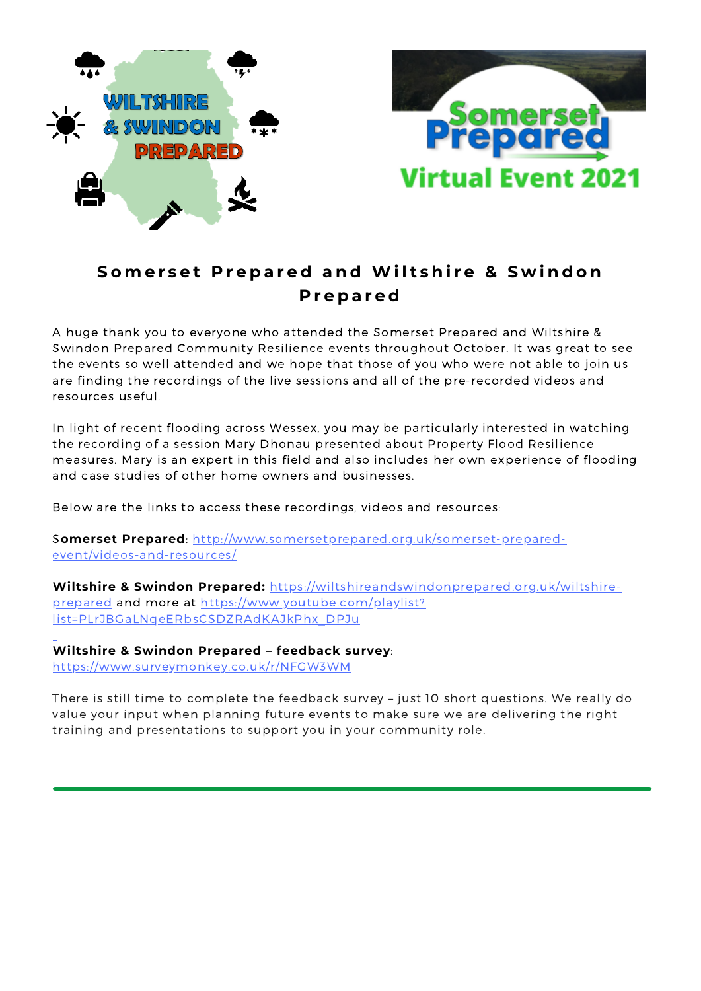

#### Somerset Prepared and Wiltshire & Swindon **P r e p a r e d**

A huge thank you to everyone who attended the Somerset Prepared and Wiltshire & Swindon Prepared Community Resilience events throughout October. It was great to see the events so well attended and we hope that those of you who were not able to join us are finding the recordings of the live sessions and all of the pre-recorded videos and resources useful.

In light of recent flooding across Wessex, you may be particularly interested in watching the recording of a session Mary Dhonau presented about Property Flood Resilience measures. Mary is an expert in this field and also includes her own experience of flooding and case studies of other home owners and businesses.

Below are the links to access these recordings, videos and resources:

S**omerset Prepared**: [http://www.somersetprepared.org.uk/somerset-prepared](http://www.somersetprepared.org.uk/somerset-prepared-event/videos-and-resources/)event/videos-and-resources/

**Wiltshire & Swindon Prepared:** [https://wiltshireandswindonprepared.org.uk/wiltshire](https://wiltshireandswindonprepared.org.uk/wiltshire-prepared)prepared and more at https://www.youtube.com/playlist? [list=PLrJBGaLNqeERbsCSDZRAdKAJkPhx\\_DPJu](https://eur03.safelinks.protection.outlook.com/?url=https%3A%2F%2Fwww.youtube.com%2Fplaylist%3Flist%3DPLrJBGaLNqeERbsCSDZRAdKAJkPhx_DPJu&data=04%7C01%7Clisa.milton%40environment-agency.gov.uk%7Cef82dcbc408641f2669408d99d226797%7C770a245002274c6290c74e38537f1102%7C0%7C0%7C637713593368886923%7CUnknown%7CTWFpbGZsb3d8eyJWIjoiMC4wLjAwMDAiLCJQIjoiV2luMzIiLCJBTiI6Ik1haWwiLCJXVCI6Mn0%3D%7C1000&sdata=26%2FNPvbKXekrgwNHdGc6JZwLSXb%2FnXQRq51PN7Pp%2Bn4%3D&reserved=0)

**Wiltshire & Swindon Prepared – feedback survey**: [https://www.surveymonkey.co.uk/r/NFGW3WM](https://eur03.safelinks.protection.outlook.com/?url=https%3A%2F%2Fwww.surveymonkey.co.uk%2Fr%2FNFGW3WM&data=04%7C01%7Clisa.milton%40environment-agency.gov.uk%7C432fe6042ead441aa7b408d993bc4eda%7C770a245002274c6290c74e38537f1102%7C0%7C0%7C637703259254048914%7CUnknown%7CTWFpbGZsb3d8eyJWIjoiMC4wLjAwMDAiLCJQIjoiV2luMzIiLCJBTiI6Ik1haWwiLCJXVCI6Mn0%3D%7C1000&sdata=537E9VEZzk%2Be8grp4tZetAy2I5U%2FrclyDPgPDcmlT1A%3D&reserved=0)

There is still time to complete the feedback survey – just 10 short questions. We really do value your input when planning future events to make sure we are delivering the right training and presentations to support you in your community role.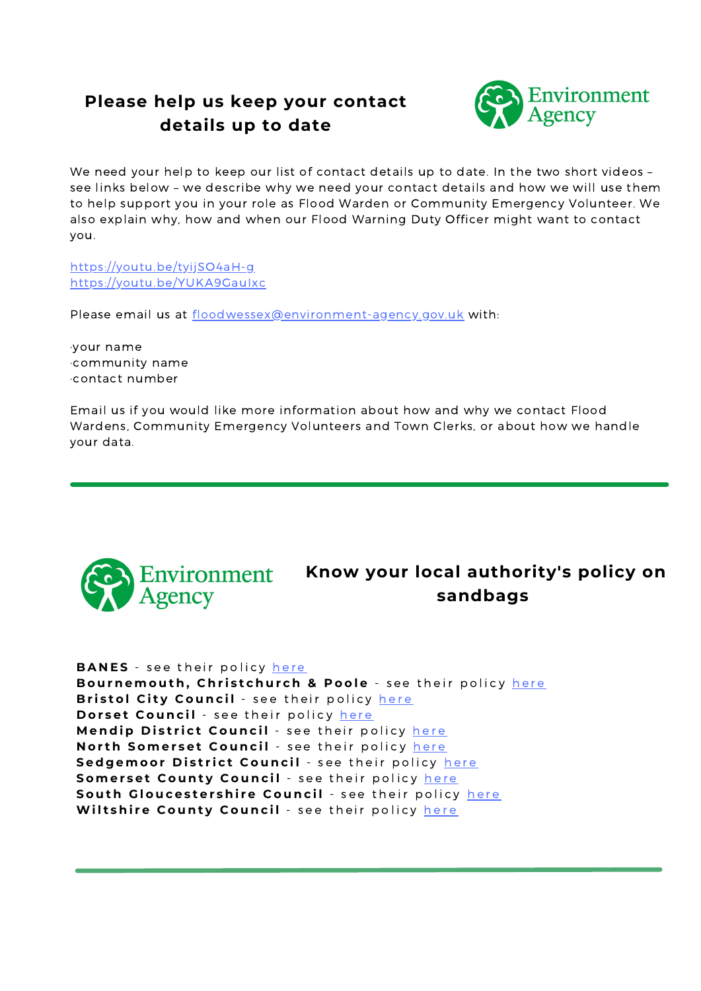### **Please help us keep your contact details up to date**



We need your help to keep our list of contact details up to date. In the two short videos – see links below – we describe why we need your contact details and how we will use them to help support you in your role as Flood Warden or Community Emergency Volunteer. We also explain why, how and when our Flood Warning Duty Officer might want to contact you.

https://youtu.be/tyijSO4aH-g https://youtu.be/YUKA9GauIxc

Please email us at floodwessex@environment-agency.gov.uk with:

·your name ·community name ·contact number

Email us if you would like more information about how and why we contact Flood Wardens, Community Emergency Volunteers and Town Clerks, or about how we handle your data.



**Know your local authority's policy on sandbags**

**BANES** - see t[h](https://www.bathnes.gov.uk/services/your-council-and-democracy/emergencies/flooding?dm_t=0,0,0,0,0http://&dm_i=3O4M,17YDI,5KQ4FE,4DNDW,1)eir policy here

Bournemout[h](https://www.bcpcouncil.gov.uk/Roads-and-transport/Maintaining-our-roads/Extreme-weather/Flooding.aspx), Christchurch & Poole - see their policy here **Bristol City Council** - see t[h](https://www.bristol.gov.uk/crime-emergencies/flooding?dm_t=0,0,0,0,0http://&dm_i=3O4M,17YDI,5KQ4FE,4DNDY,1)eir policy here **Dorset Council** - see t[h](https://www.dorsetcouncil.gov.uk/-/sandbags-and-local-flooding-advice)eir policy here Mendip District Council - see t[h](https://www.mendip.gov.uk/flood?dm_t=0,0,0,0,0http://&dm_i=3O4M,17YDI,5KQ4FE,4DNE0,1)eir policy here **Nort[h](https://www.n-somerset.gov.uk/my-services/nuisances-pollution-environmental-issues/flooding-drainage/preparing-flooding) Somerset Council** - see their policy here Sedgemoor District Council - see t[h](https://somersetnewsroom.com/flooding/sandbags/?dm_i=3O4M,17YDI,5KQ4FE,4EFG9,1)eir policy here Somerset County Council - see t[h](https://www.somerset.gov.uk/?s=sandbags&dm_t=0,0,0,0,0http://&dm_i=3O4M,17YDI,5KQ4FE,4DNE3,1)eir policy here Sout[h](https://www.southglos.gov.uk/health-and-social-care/staying-healthy/health-protection/emergency-planning-and-weather-advice/emergencies/civil-emergencies-emergencies/civil-emergencies-flooding/preparing-for-flooding/?dm_t=0,0,0,0,0http://&dm_i=3O4M,17YDI,5KQ4FE,4DNE4,1) Gloucestershire Council - see their policy here Wilts[h](https://www.wiltshire.gov.uk/civil-emergencies-sandbags)ire County Council - see their policy here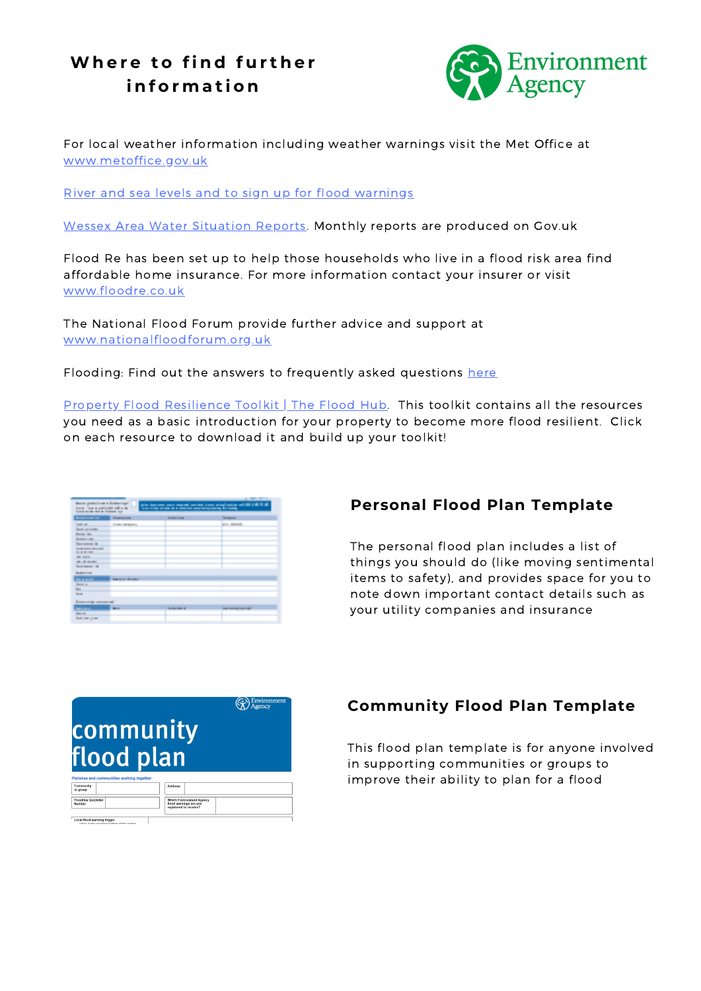## **Wh e r e t o fi n d f u r t h e r i n f o r m a t i o n**



For local weather information including weather warnings visit the Met Office at [www.metoffice.gov.uk](http://www.metoffice.gov.uk/)

River and sea levels and to sign up for flood [warnings](https://flood-warning-information.service.gov.uk/river-and-sea-levels?dm_i=3O4M,15532,5KQ4FE,41BZU,1)

Wessex Area Water [Situation](https://www.gov.uk/government/publications/water-situation-local-area-reports?dm_i=3O4M,15532,5KQ4FE,41BZA,1) Reports. Monthly reports are produced on Gov.uk

Flood Re has been set up to help those households who live in a flood risk area find affordable home insurance. For more information contact your insurer or visit [www.floodre.co.uk](http://www.floodre.co.uk/)

The National Flood Forum provide further advice and support at [www.nationalfloodforum.org.uk](http://www.nationalfloodforum.org.uk/)

Flooding: Find out the answers to frequently asked questions [here](https://assets.publishing.service.gov.uk/government/uploads/system/uploads/attachment_data/file/348925/Flooding_questions_and_answers_February_2014.pdf?dm_i=3O4M,15532,5KQ4FE,41BZX,1)

Property Flood [Resilience](https://thefloodhub.co.uk/property-flood-resilience-toolkit/?term=sandbags) Toolkit | The Flood Hub. This toolkit contains all the resources you need as a basic introduction for your property to become more flood resilient. Click on each resource to download it and build up your toolkit!

| <b>Programme</b><br>--<br>the state of the state of the state<br><b>STATISTICS</b><br>Became production on a dealership and<br>(also the color case way only an inter-state and party and the first that the<br>the first control program country<br>kan atau salah salah diarah merepakan kalendar |                           |                            |                                                               |  |
|-----------------------------------------------------------------------------------------------------------------------------------------------------------------------------------------------------------------------------------------------------------------------------------------------------|---------------------------|----------------------------|---------------------------------------------------------------|--|
| them to be a mattered will a se-<br>throughout the station fundament con-<br><b>Brown Constitution Co.</b>                                                                                                                                                                                          | <b>Construction</b>       | <b>Section County</b>      | <b>Seriesman</b>                                              |  |
| <b>COLOR</b><br><b>Dennis Grandman</b>                                                                                                                                                                                                                                                              | <b>September 2010</b><br> |                            | the control of the control of the<br><b>COLLECTION</b>        |  |
| Bearing State<br><b>DESCRIPTION</b>                                                                                                                                                                                                                                                                 |                           |                            |                                                               |  |
| <b>Constitution Co.</b><br><b><i>CONTRACTOR CONTRACTOR</i></b><br><b>COLORED AND IN</b>                                                                                                                                                                                                             |                           |                            |                                                               |  |
| <b>COLORED CONTROL</b><br><b>BELLE BELLETT</b><br><b>Department of</b>                                                                                                                                                                                                                              |                           |                            |                                                               |  |
| and the control<br><b>Booker Corp.</b>                                                                                                                                                                                                                                                              |                           |                            |                                                               |  |
| <b>BELLER</b><br><b>Dealer of</b><br><b>Black</b>                                                                                                                                                                                                                                                   | <b>Barnetter Brooker</b>  |                            |                                                               |  |
| <b>Barnet</b><br>The company's property of                                                                                                                                                                                                                                                          |                           |                            |                                                               |  |
| in an<br><b>Home card</b>                                                                                                                                                                                                                                                                           | <b>BREAD</b>              | <b>Constitution of the</b> | and the state of the state<br><b>State considerations and</b> |  |
| <b>Dead and grown</b>                                                                                                                                                                                                                                                                               |                           |                            |                                                               |  |

#### **Personal Flood Plan Template**

The personal flood plan includes a list of things you should do (like moving sentimental items to safety), and provides space for you to note down important contact details such as your utility companies and insurance

|                                                                    |                                                           | Environment |
|--------------------------------------------------------------------|-----------------------------------------------------------|-------------|
| community                                                          |                                                           |             |
|                                                                    |                                                           |             |
| flood plan                                                         |                                                           |             |
|                                                                    |                                                           |             |
| Parishes and communities working together<br>Community<br>or group | <b>Address</b>                                            |             |
| <b>Floodline Quickdial</b><br>Number                               | <b>Which Environment Agency</b><br>flood warnings are you |             |
|                                                                    | registered to receive?                                    |             |

#### **Community Flood Plan Template**

This flood plan template is for anyone involved in supporting communities or groups to improve their ability to plan for a flood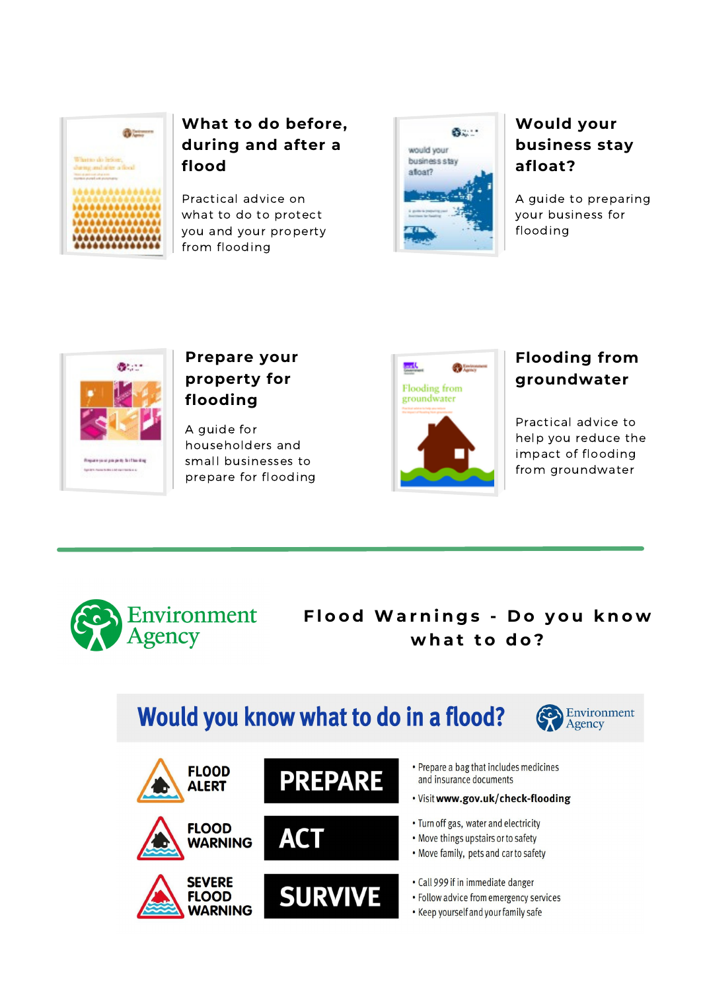

#### **What to do before, during and after a flood**

Practical advice on what to do to protect you and your property from flooding



#### **Would your business stay afloat?**

A guide to preparing your business for flooding



#### **Prepare your property for flooding**

A guide for householders and small businesses to prepare for flooding



#### **Flooding from groundwater**

Practical advice to help you reduce the impact of flooding from groundwater



#### **F l o o d Wa r n i n g s - D o y o u k n o w w h a t t o d o ?**

# Would you know what to do in a flood?



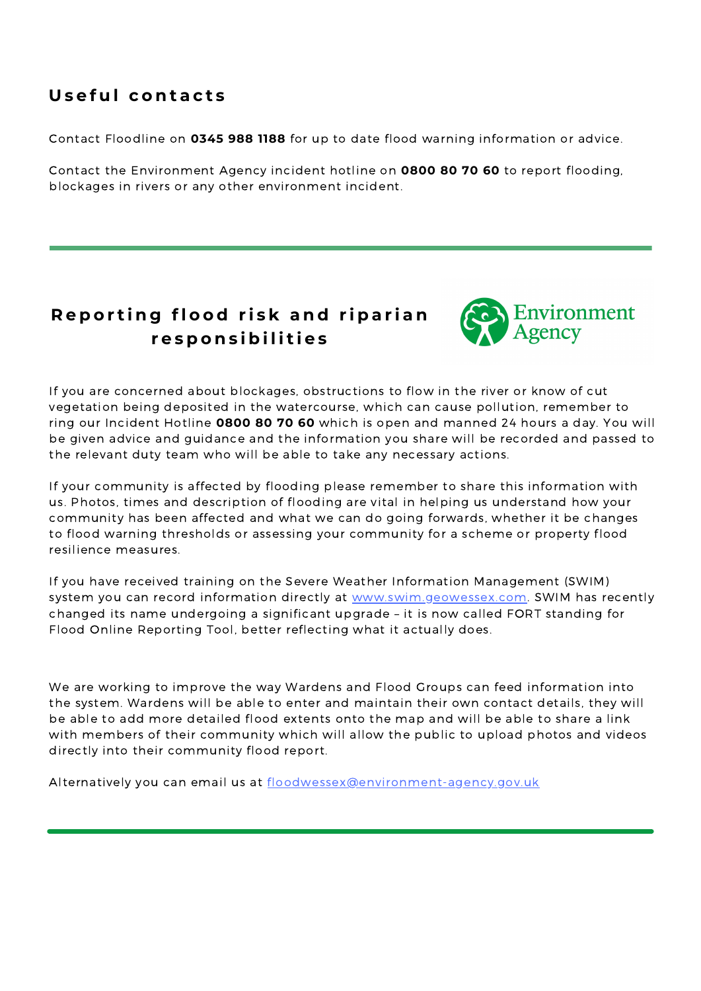#### **U s e f u l c o n t a c t s**

Contact Floodline on **0345 988 1188** for up to date flood warning information or advice.

Contact the Environment Agency incident hotline on **0800 80 70 60** to report flooding, blockages in rivers or any other environment incident.

#### Reporting flood risk and riparian **r e s p o n s i b i l i t i e s**



If you are concerned about blockages, obstructions to flow in the river or know of cut vegetation being deposited in the watercourse, which can cause pollution, remember to ring our Incident Hotline **0800 80 70 60** which is open and manned 24 hours a day. You will be given advice and guidance and the information you share will be recorded and passed to the relevant duty team who will be able to take any necessary actions.

If your community is affected by flooding please remember to share this information with us. Photos, times and description of flooding are vital in helping us understand how your community has been affected and what we can do going forwards, whether it be changes to flood warning thresholds or assessing your community for a scheme or property flood resilience measures.

If you have received training on the Severe Weather Information Management (SWIM) system you can record information directly at [www.swim.geowessex.com](https://swim.geowessex.com/uk). SWIM has recently changed its name undergoing a significant upgrade – it is now called FORT standing for Flood Online Reporting Tool, better reflecting what it actually does.

We are working to improve the way Wardens and Flood Groups can feed information into the system. Wardens will be able to enter and maintain their own contact details, they will be able to add more detailed flood extents onto the map and will be able to share a link with members of their community which will allow the public to upload photos and videos directly into their community flood report.

Alternatively you can email us at [floodwessex@environment-agency.gov.uk](mailto:floodwessex@environment-agency.gov.uk)